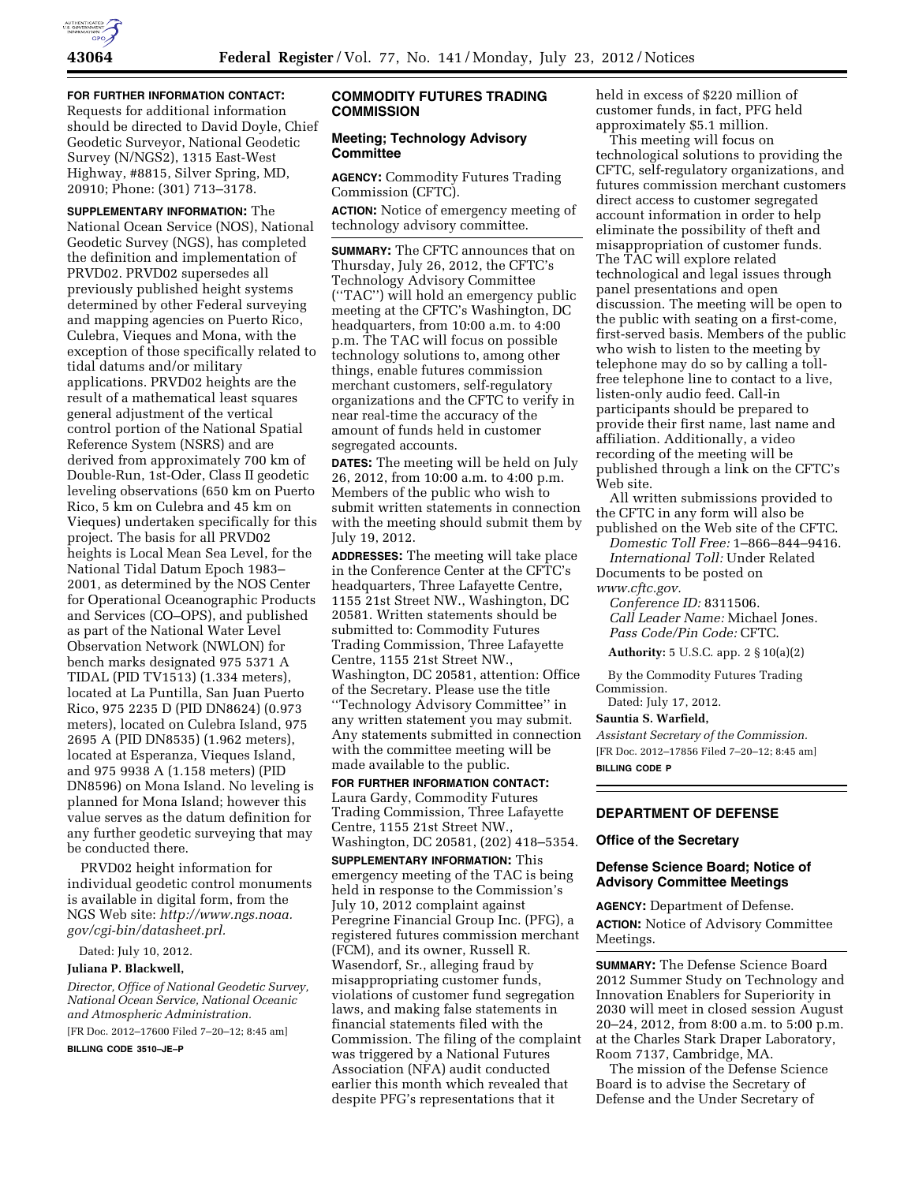

**FOR FURTHER INFORMATION CONTACT:**  Requests for additional information should be directed to David Doyle, Chief Geodetic Surveyor, National Geodetic Survey (N/NGS2), 1315 East-West Highway, #8815, Silver Spring, MD, 20910; Phone: (301) 713–3178.

**SUPPLEMENTARY INFORMATION:** The National Ocean Service (NOS), National Geodetic Survey (NGS), has completed the definition and implementation of PRVD02. PRVD02 supersedes all previously published height systems determined by other Federal surveying and mapping agencies on Puerto Rico, Culebra, Vieques and Mona, with the exception of those specifically related to tidal datums and/or military applications. PRVD02 heights are the result of a mathematical least squares general adjustment of the vertical control portion of the National Spatial Reference System (NSRS) and are derived from approximately 700 km of Double-Run, 1st-Oder, Class II geodetic leveling observations (650 km on Puerto Rico, 5 km on Culebra and 45 km on Vieques) undertaken specifically for this project. The basis for all PRVD02 heights is Local Mean Sea Level, for the National Tidal Datum Epoch 1983– 2001, as determined by the NOS Center for Operational Oceanographic Products and Services (CO–OPS), and published as part of the National Water Level Observation Network (NWLON) for bench marks designated 975 5371 A TIDAL (PID TV1513) (1.334 meters), located at La Puntilla, San Juan Puerto Rico, 975 2235 D (PID DN8624) (0.973 meters), located on Culebra Island, 975 2695 A (PID DN8535) (1.962 meters), located at Esperanza, Vieques Island, and 975 9938 A (1.158 meters) (PID DN8596) on Mona Island. No leveling is planned for Mona Island; however this value serves as the datum definition for any further geodetic surveying that may be conducted there.

PRVD02 height information for individual geodetic control monuments is available in digital form, from the NGS Web site: *[http://www.ngs.noaa.](http://www.ngs.noaa.gov/cgi-bin/datasheet.prl) [gov/cgi-bin/datasheet.prl.](http://www.ngs.noaa.gov/cgi-bin/datasheet.prl)* 

Dated: July 10, 2012.

#### **Juliana P. Blackwell,**

*Director, Office of National Geodetic Survey, National Ocean Service, National Oceanic and Atmospheric Administration.* 

[FR Doc. 2012–17600 Filed 7–20–12; 8:45 am]

**BILLING CODE 3510–JE–P** 

## **COMMODITY FUTURES TRADING COMMISSION**

## **Meeting; Technology Advisory Committee**

**AGENCY:** Commodity Futures Trading Commission (CFTC).

**ACTION:** Notice of emergency meeting of technology advisory committee.

**SUMMARY:** The CFTC announces that on Thursday, July 26, 2012, the CFTC's Technology Advisory Committee (''TAC'') will hold an emergency public meeting at the CFTC's Washington, DC headquarters, from 10:00 a.m. to 4:00 p.m. The TAC will focus on possible technology solutions to, among other things, enable futures commission merchant customers, self-regulatory organizations and the CFTC to verify in near real-time the accuracy of the amount of funds held in customer segregated accounts.

**DATES:** The meeting will be held on July 26, 2012, from 10:00 a.m. to 4:00 p.m. Members of the public who wish to submit written statements in connection with the meeting should submit them by July 19, 2012.

**ADDRESSES:** The meeting will take place in the Conference Center at the CFTC's headquarters, Three Lafayette Centre, 1155 21st Street NW., Washington, DC 20581. Written statements should be submitted to: Commodity Futures Trading Commission, Three Lafayette Centre, 1155 21st Street NW., Washington, DC 20581, attention: Office of the Secretary. Please use the title ''Technology Advisory Committee'' in any written statement you may submit. Any statements submitted in connection with the committee meeting will be made available to the public.

**FOR FURTHER INFORMATION CONTACT:**  Laura Gardy, Commodity Futures Trading Commission, Three Lafayette Centre, 1155 21st Street NW., Washington, DC 20581, (202) 418–5354.

**SUPPLEMENTARY INFORMATION:** This emergency meeting of the TAC is being held in response to the Commission's July 10, 2012 complaint against Peregrine Financial Group Inc. (PFG), a registered futures commission merchant (FCM), and its owner, Russell R. Wasendorf, Sr., alleging fraud by misappropriating customer funds, violations of customer fund segregation laws, and making false statements in financial statements filed with the Commission. The filing of the complaint was triggered by a National Futures Association (NFA) audit conducted earlier this month which revealed that despite PFG's representations that it

held in excess of \$220 million of customer funds, in fact, PFG held approximately \$5.1 million.

This meeting will focus on technological solutions to providing the CFTC, self-regulatory organizations, and futures commission merchant customers direct access to customer segregated account information in order to help eliminate the possibility of theft and misappropriation of customer funds. The TAC will explore related technological and legal issues through panel presentations and open discussion. The meeting will be open to the public with seating on a first-come, first-served basis. Members of the public who wish to listen to the meeting by telephone may do so by calling a tollfree telephone line to contact to a live, listen-only audio feed. Call-in participants should be prepared to provide their first name, last name and affiliation. Additionally, a video recording of the meeting will be published through a link on the CFTC's Web site.

All written submissions provided to the CFTC in any form will also be

published on the Web site of the CFTC. *Domestic Toll Free:* 1–866–844–9416. *International Toll:* Under Related

Documents to be posted on *[www.cftc.gov.](http://www.cftc.gov)* 

*Conference ID:* 8311506. *Call Leader Name:* Michael Jones. *Pass Code/Pin Code:* CFTC.

**Authority:** 5 U.S.C. app. 2 § 10(a)(2)

By the Commodity Futures Trading Commission.

Dated: July 17, 2012.

## **Sauntia S. Warfield,**

*Assistant Secretary of the Commission.*  [FR Doc. 2012–17856 Filed 7–20–12; 8:45 am] **BILLING CODE P** 

# **DEPARTMENT OF DEFENSE**

#### **Office of the Secretary**

## **Defense Science Board; Notice of Advisory Committee Meetings**

**AGENCY:** Department of Defense. **ACTION:** Notice of Advisory Committee Meetings.

**SUMMARY:** The Defense Science Board 2012 Summer Study on Technology and Innovation Enablers for Superiority in 2030 will meet in closed session August 20–24, 2012, from 8:00 a.m. to 5:00 p.m. at the Charles Stark Draper Laboratory, Room 7137, Cambridge, MA.

The mission of the Defense Science Board is to advise the Secretary of Defense and the Under Secretary of